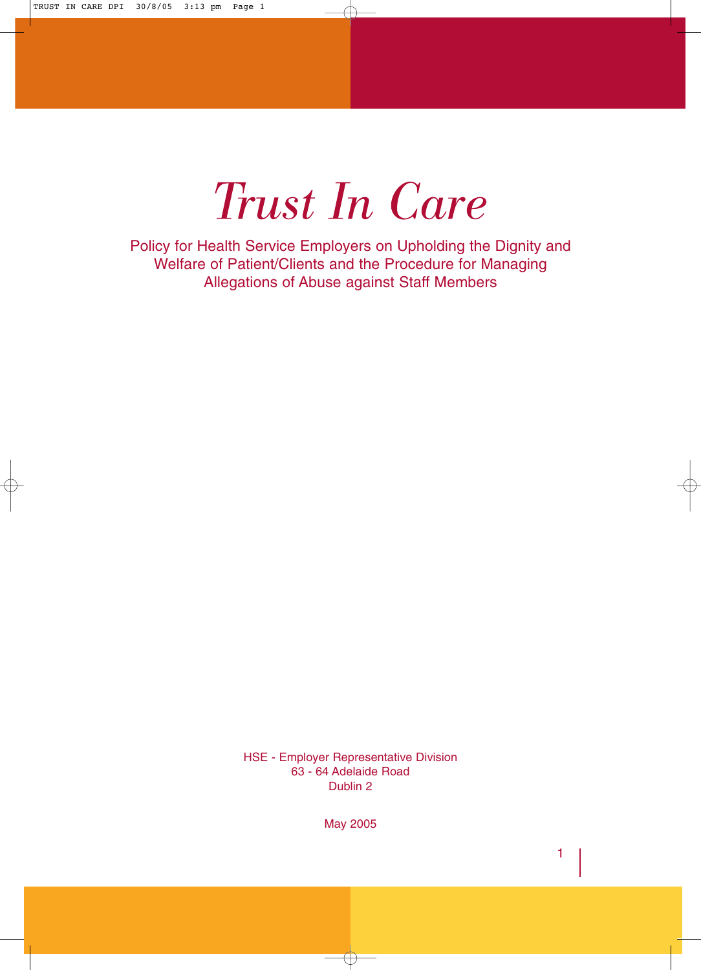**Trust In Care** 

Policy for Health Service Employers on Upholding the Dignity and Welfare of Patient/Clients and the Procedure for Managing Allegations of Abuse against Staff Members

> HSE - Employer Representative Division 63 - 64 Adelaide Road Dublin 2

> > May 2005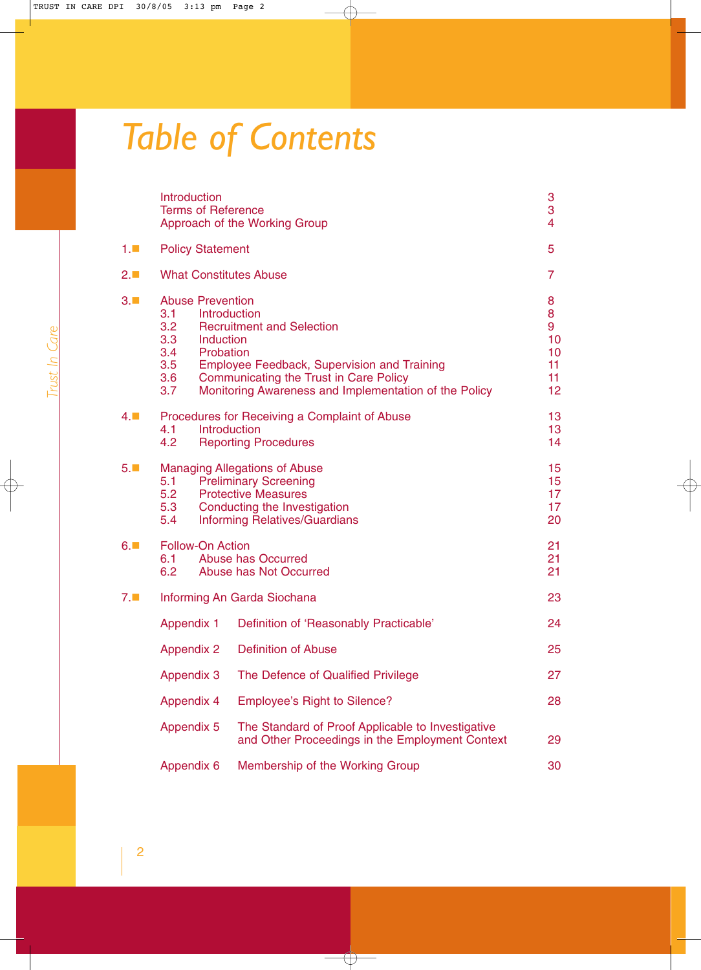# *Table of Contents*

|     | Introduction<br><b>Terms of Reference</b>                                          | Approach of the Working Group                                                                                                                                                                                                                                        | $\frac{3}{3}$<br>$\overline{4}$ |
|-----|------------------------------------------------------------------------------------|----------------------------------------------------------------------------------------------------------------------------------------------------------------------------------------------------------------------------------------------------------------------|---------------------------------|
| 1.  | <b>Policy Statement</b>                                                            |                                                                                                                                                                                                                                                                      |                                 |
| 2.  | <b>What Constitutes Abuse</b>                                                      |                                                                                                                                                                                                                                                                      | $\overline{7}$                  |
| 3.  | 3.6<br>3.7                                                                         | <b>Abuse Prevention</b><br>3.1 Introduction<br>3.2 Recruitment and Selection<br>3.3 Induction<br>3.4 Probation<br>3.5 Employee Feedback, Supervision and Training<br>Communicating the Trust in Care Policy<br>Monitoring Awareness and Implementation of the Policy |                                 |
| 4.■ | 4.1<br>4.2                                                                         | Procedures for Receiving a Complaint of Abuse<br>Introduction<br><b>Reporting Procedures</b>                                                                                                                                                                         |                                 |
| 5.  | 5.1<br>5.2<br>5.3<br>5.4                                                           | <b>Managing Allegations of Abuse</b><br><b>Preliminary Screening</b><br><b>Protective Measures</b><br>Conducting the Investigation<br><b>Informing Relatives/Guardians</b>                                                                                           |                                 |
| 6.  | <b>Follow-On Action</b><br>6.1 Abuse has Occurred<br>6.2<br>Abuse has Not Occurred |                                                                                                                                                                                                                                                                      | 21<br>21<br>21                  |
| 7.  | Informing An Garda Siochana                                                        |                                                                                                                                                                                                                                                                      |                                 |
|     | Appendix 1                                                                         | Definition of 'Reasonably Practicable'                                                                                                                                                                                                                               | 24                              |
|     | <b>Appendix 2</b>                                                                  | <b>Definition of Abuse</b>                                                                                                                                                                                                                                           | 25                              |
|     | <b>Appendix 3</b>                                                                  | The Defence of Qualified Privilege                                                                                                                                                                                                                                   | 27                              |
|     | <b>Appendix 4</b>                                                                  | Employee's Right to Silence?                                                                                                                                                                                                                                         | 28                              |
|     | <b>Appendix 5</b>                                                                  | The Standard of Proof Applicable to Investigative<br>and Other Proceedings in the Employment Context                                                                                                                                                                 | 29                              |
|     | <b>Appendix 6</b>                                                                  | Membership of the Working Group                                                                                                                                                                                                                                      | 30                              |

 $\Rightarrow$ 

2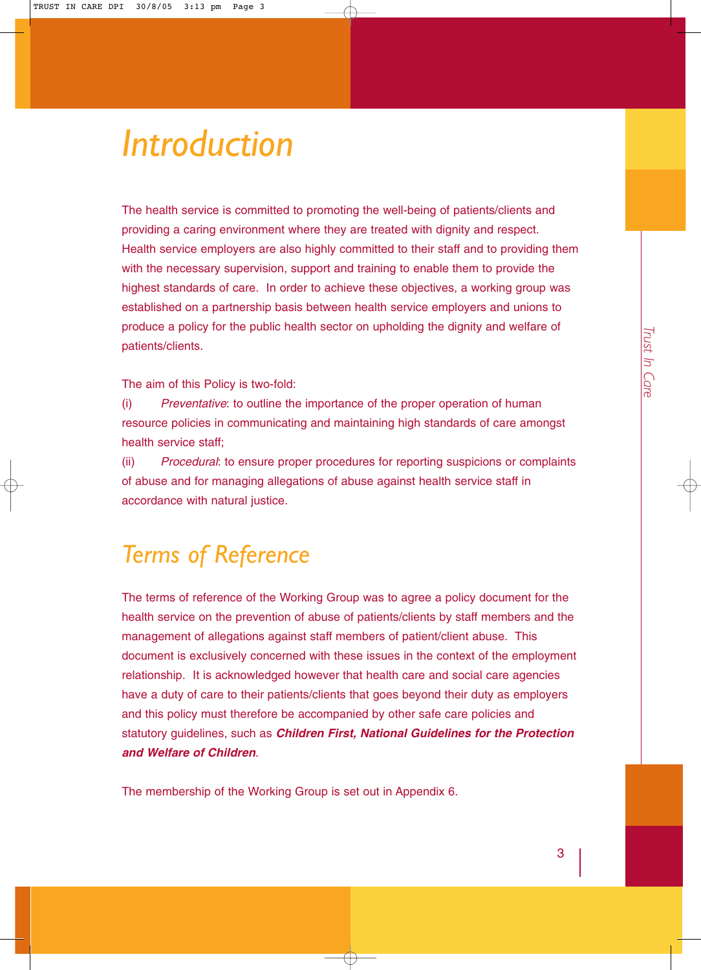## *Introduction*

The health service is committed to promoting the well-being of patients/clients and providing a caring environment where they are treated with dignity and respect. Health service employers are also highly committed to their staff and to providing them with the necessary supervision, support and training to enable them to provide the highest standards of care. In order to achieve these objectives, a working group was established on a partnership basis between health service employers and unions to produce a policy for the public health sector on upholding the dignity and welfare of patients/clients.

The aim of this Policy is two-fold:

(i) *Preventative*: to outline the importance of the proper operation of human resource policies in communicating and maintaining high standards of care amongst health service staff;

(ii) *Procedural*: to ensure proper procedures for reporting suspicions or complaints of abuse and for managing allegations of abuse against health service staff in accordance with natural justice.

### *Terms of Reference*

The terms of reference of the Working Group was to agree a policy document for the health service on the prevention of abuse of patients/clients by staff members and the management of allegations against staff members of patient/client abuse. This document is exclusively concerned with these issues in the context of the employment relationship. It is acknowledged however that health care and social care agencies have a duty of care to their patients/clients that goes beyond their duty as employers and this policy must therefore be accompanied by other safe care policies and statutory guidelines, such as *Children First, National Guidelines for the Protection and Welfare of Children*.

The membership of the Working Group is set out in Appendix 6.

*Trust In Care*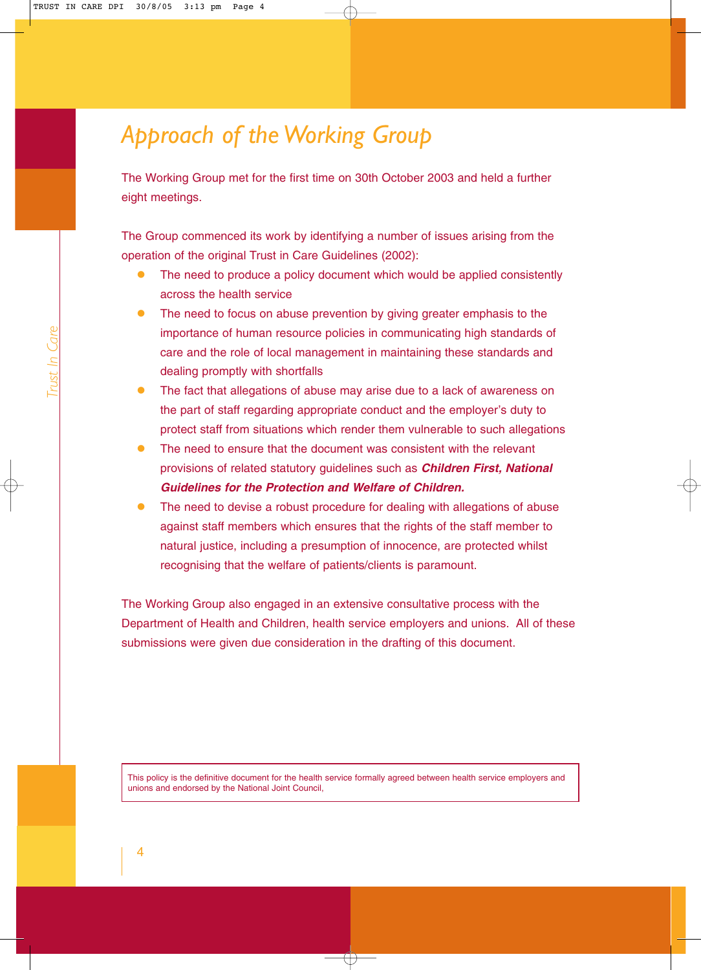### *Approach of the Working Group*

The Working Group met for the first time on 30th October 2003 and held a further eight meetings.

The Group commenced its work by identifying a number of issues arising from the operation of the original Trust in Care Guidelines (2002):

- The need to produce a policy document which would be applied consistently across the health service
- The need to focus on abuse prevention by giving greater emphasis to the importance of human resource policies in communicating high standards of care and the role of local management in maintaining these standards and dealing promptly with shortfalls
- The fact that allegations of abuse may arise due to a lack of awareness on the part of staff regarding appropriate conduct and the employer's duty to protect staff from situations which render them vulnerable to such allegations
- The need to ensure that the document was consistent with the relevant provisions of related statutory guidelines such as *Children First, National Guidelines for the Protection and Welfare of Children.*
- The need to devise a robust procedure for dealing with allegations of abuse against staff members which ensures that the rights of the staff member to natural justice, including a presumption of innocence, are protected whilst recognising that the welfare of patients/clients is paramount.

The Working Group also engaged in an extensive consultative process with the Department of Health and Children, health service employers and unions. All of these submissions were given due consideration in the drafting of this document.

This policy is the definitive document for the health service formally agreed between health service employers and unions and endorsed by the National Joint Council,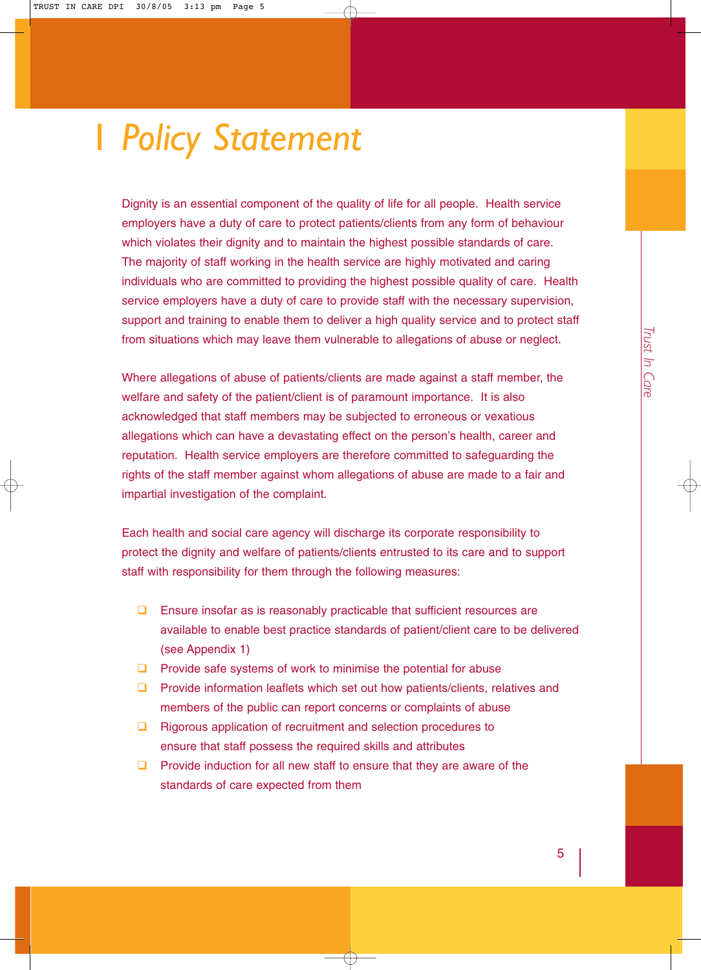## *Policy Statement* 1

Dignity is an essential component of the quality of life for all people. Health service employers have a duty of care to protect patients/clients from any form of behaviour which violates their dignity and to maintain the highest possible standards of care. The majority of staff working in the health service are highly motivated and caring individuals who are committed to providing the highest possible quality of care. Health service employers have a duty of care to provide staff with the necessary supervision, support and training to enable them to deliver a high quality service and to protect staff from situations which may leave them vulnerable to allegations of abuse or neglect.

Where allegations of abuse of patients/clients are made against a staff member, the welfare and safety of the patient/client is of paramount importance. It is also acknowledged that staff members may be subjected to erroneous or vexatious allegations which can have a devastating effect on the person's health, career and reputation. Health service employers are therefore committed to safeguarding the rights of the staff member against whom allegations of abuse are made to a fair and impartial investigation of the complaint.

Each health and social care agency will discharge its corporate responsibility to protect the dignity and welfare of patients/clients entrusted to its care and to support staff with responsibility for them through the following measures:

- $\Box$  Ensure insofar as is reasonably practicable that sufficient resources are available to enable best practice standards of patient/client care to be delivered (see Appendix 1)
- $\Box$  Provide safe systems of work to minimise the potential for abuse
- **D** Provide information leaflets which set out how patients/clients, relatives and members of the public can report concerns or complaints of abuse
- □ Rigorous application of recruitment and selection procedures to ensure that staff possess the required skills and attributes
- $\Box$  Provide induction for all new staff to ensure that they are aware of the standards of care expected from them

Trust In Care *Trust In Care*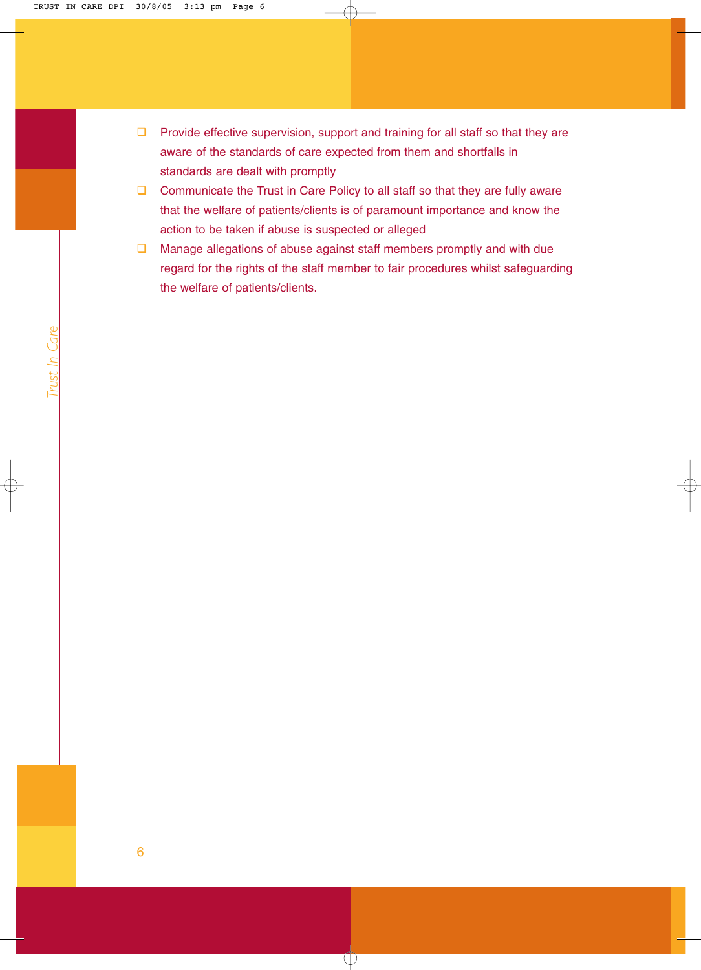*Trust In Care*

Trust In Care

- $\Box$  Provide effective supervision, support and training for all staff so that they are aware of the standards of care expected from them and shortfalls in standards are dealt with promptly
- □ Communicate the Trust in Care Policy to all staff so that they are fully aware that the welfare of patients/clients is of paramount importance and know the action to be taken if abuse is suspected or alleged
- □ Manage allegations of abuse against staff members promptly and with due regard for the rights of the staff member to fair procedures whilst safeguarding the welfare of patients/clients.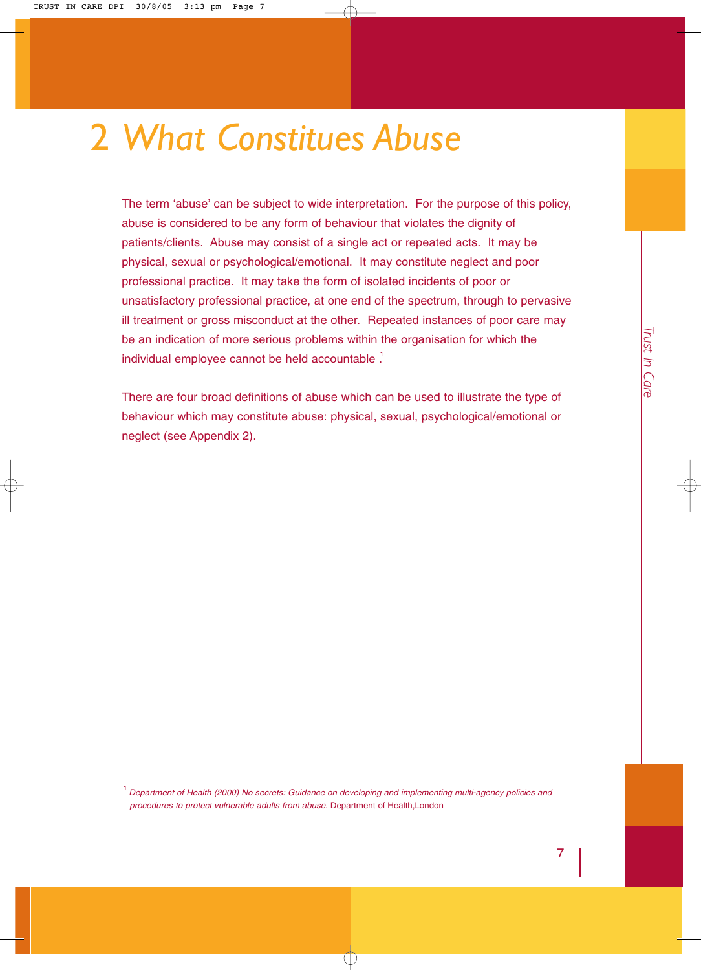## *What Constitues Abuse* 2

The term 'abuse' can be subject to wide interpretation. For the purpose of this policy, abuse is considered to be any form of behaviour that violates the dignity of patients/clients. Abuse may consist of a single act or repeated acts. It may be physical, sexual or psychological/emotional. It may constitute neglect and poor professional practice. It may take the form of isolated incidents of poor or unsatisfactory professional practice, at one end of the spectrum, through to pervasive ill treatment or gross misconduct at the other. Repeated instances of poor care may be an indication of more serious problems within the organisation for which the individual employee cannot be held accountable .<sup>1</sup>

There are four broad definitions of abuse which can be used to illustrate the type of behaviour which may constitute abuse: physical, sexual, psychological/emotional or neglect (see Appendix 2).

<sup>1</sup> Department of Health (2000) No secrets: Guidance on developing and implementing multi-agency policies and *procedures to protect vulnerable adults from abuse.* Department of Health,London

*Trust In Care*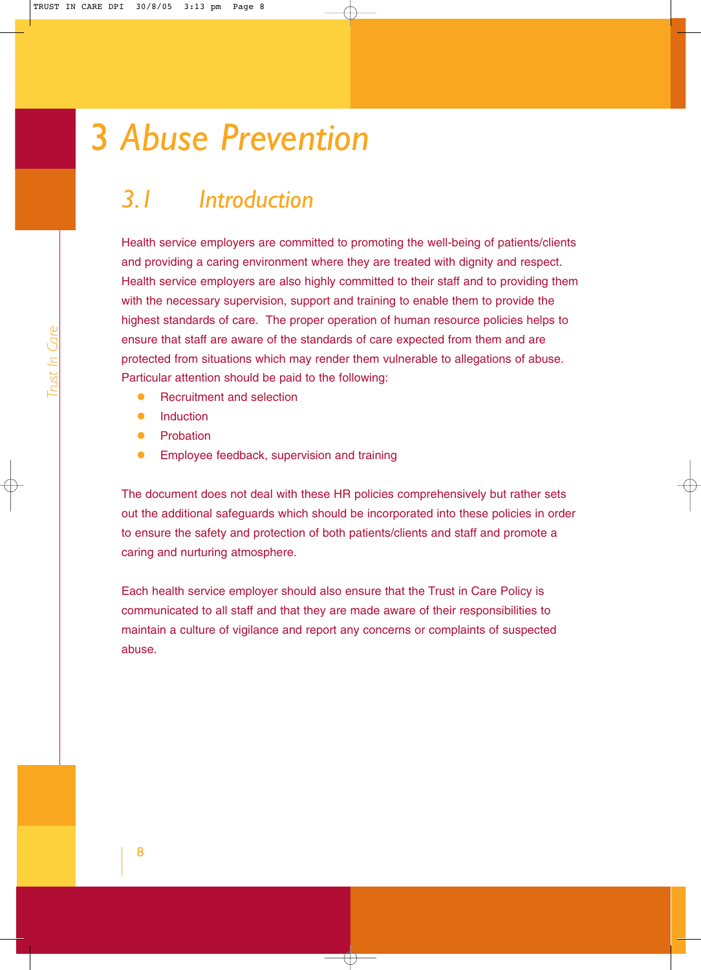## *Abuse Prevention* 3

### *3.1 Introduction*

Health service employers are committed to promoting the well-being of patients/clients and providing a caring environment where they are treated with dignity and respect. Health service employers are also highly committed to their staff and to providing them with the necessary supervision, support and training to enable them to provide the highest standards of care. The proper operation of human resource policies helps to ensure that staff are aware of the standards of care expected from them and are protected from situations which may render them vulnerable to allegations of abuse. Particular attention should be paid to the following:

- Recruitment and selection
- Induction
- Probation
- Employee feedback, supervision and training

The document does not deal with these HR policies comprehensively but rather sets out the additional safeguards which should be incorporated into these policies in order to ensure the safety and protection of both patients/clients and staff and promote a caring and nurturing atmosphere.

Each health service employer should also ensure that the Trust in Care Policy is communicated to all staff and that they are made aware of their responsibilities to maintain a culture of vigilance and report any concerns or complaints of suspected abuse.

 $\oplus$ 

Fust In Care *Trust In Care*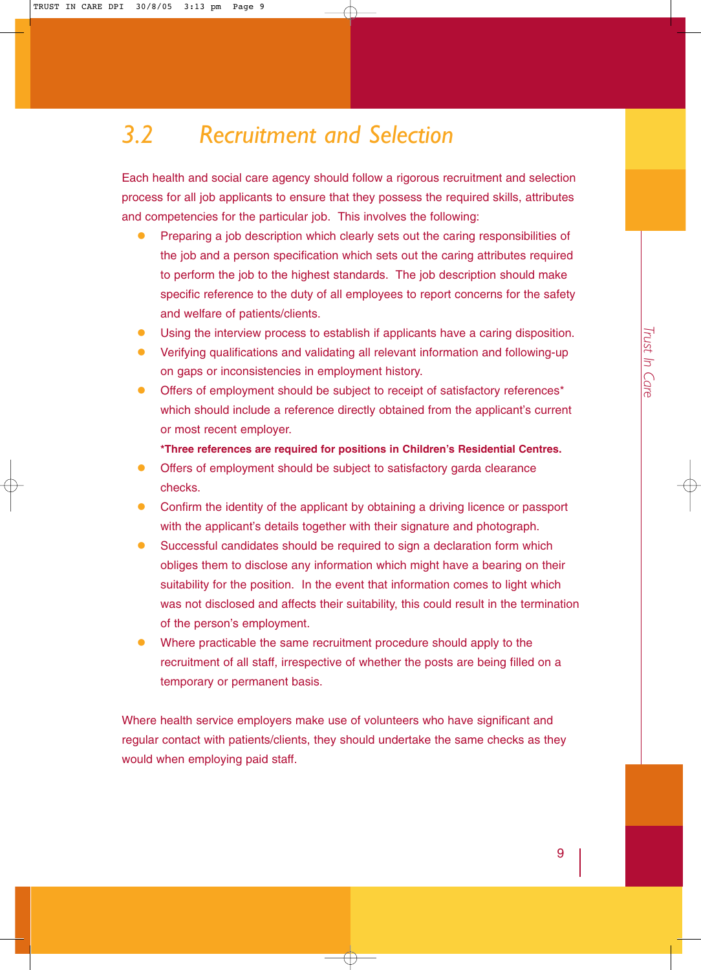### *3.2 Recruitment and Selection*

Each health and social care agency should follow a rigorous recruitment and selection process for all job applicants to ensure that they possess the required skills, attributes and competencies for the particular job. This involves the following:

- **•** Preparing a job description which clearly sets out the caring responsibilities of the job and a person specification which sets out the caring attributes required to perform the job to the highest standards. The job description should make specific reference to the duty of all employees to report concerns for the safety and welfare of patients/clients.
- Using the interview process to establish if applicants have a caring disposition.
- Verifying qualifications and validating all relevant information and following-up on gaps or inconsistencies in employment history.
- Offers of employment should be subject to receipt of satisfactory references\* which should include a reference directly obtained from the applicant's current or most recent employer.
	- **\*Three references are required for positions in Children's Residential Centres.**
- Offers of employment should be subject to satisfactory garda clearance checks.
- Confirm the identity of the applicant by obtaining a driving licence or passport with the applicant's details together with their signature and photograph.
- Successful candidates should be required to sign a declaration form which obliges them to disclose any information which might have a bearing on their suitability for the position. In the event that information comes to light which was not disclosed and affects their suitability, this could result in the termination of the person's employment.
- Where practicable the same recruitment procedure should apply to the recruitment of all staff, irrespective of whether the posts are being filled on a temporary or permanent basis.

Where health service employers make use of volunteers who have significant and regular contact with patients/clients, they should undertake the same checks as they would when employing paid staff.

Trust In Care *Trust In Care*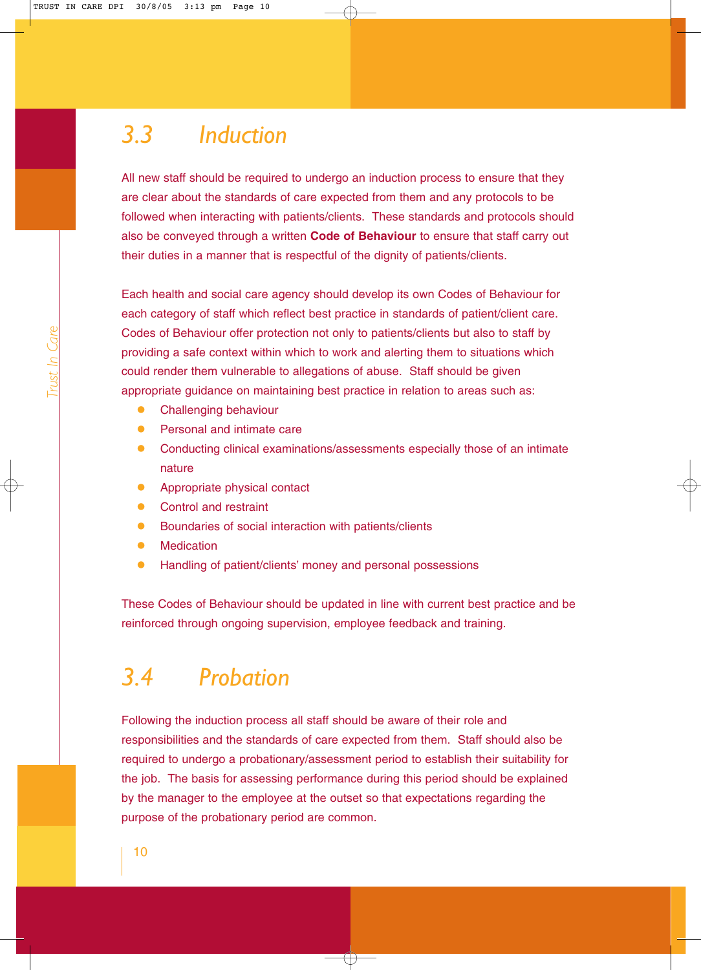### *3.3 Induction*

All new staff should be required to undergo an induction process to ensure that they are clear about the standards of care expected from them and any protocols to be followed when interacting with patients/clients. These standards and protocols should also be conveyed through a written **Code of Behaviour** to ensure that staff carry out their duties in a manner that is respectful of the dignity of patients/clients.

Each health and social care agency should develop its own Codes of Behaviour for each category of staff which reflect best practice in standards of patient/client care. Codes of Behaviour offer protection not only to patients/clients but also to staff by providing a safe context within which to work and alerting them to situations which could render them vulnerable to allegations of abuse. Staff should be given appropriate guidance on maintaining best practice in relation to areas such as:

- Challenging behaviour
- Personal and intimate care
- Conducting clinical examinations/assessments especially those of an intimate nature
- Appropriate physical contact
- Control and restraint
- Boundaries of social interaction with patients/clients
- **Medication**
- Handling of patient/clients' money and personal possessions

These Codes of Behaviour should be updated in line with current best practice and be reinforced through ongoing supervision, employee feedback and training.

### *3.4 Probation*

Following the induction process all staff should be aware of their role and responsibilities and the standards of care expected from them. Staff should also be required to undergo a probationary/assessment period to establish their suitability for the job. The basis for assessing performance during this period should be explained by the manager to the employee at the outset so that expectations regarding the purpose of the probationary period are common.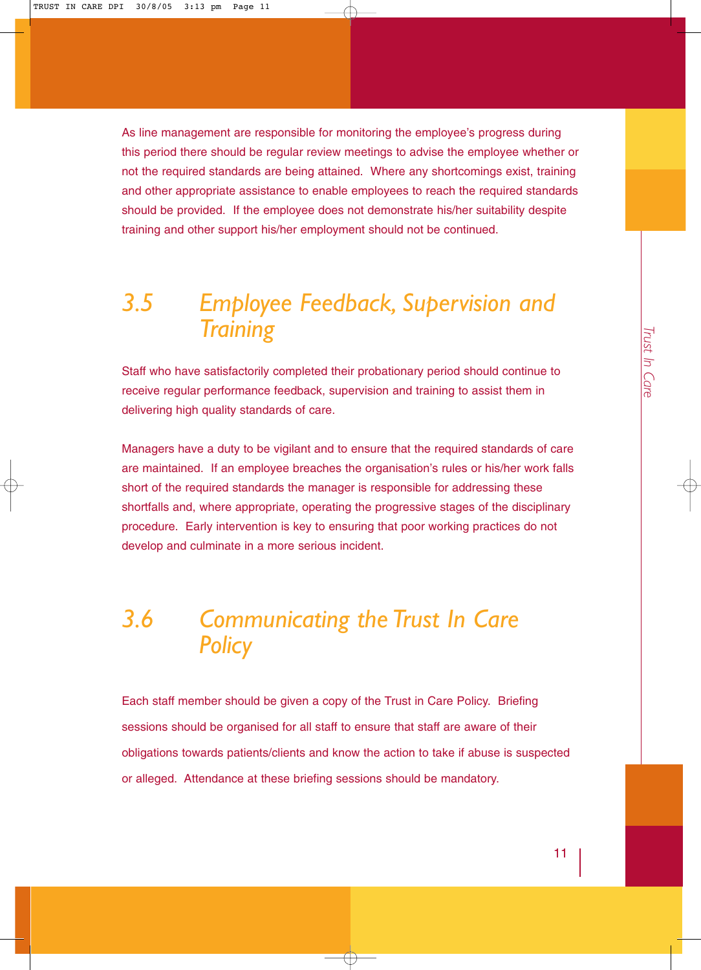As line management are responsible for monitoring the employee's progress during this period there should be regular review meetings to advise the employee whether or not the required standards are being attained. Where any shortcomings exist, training and other appropriate assistance to enable employees to reach the required standards should be provided. If the employee does not demonstrate his/her suitability despite training and other support his/her employment should not be continued.

### *3.5 Employee Feedback, Supervision and Training*

Staff who have satisfactorily completed their probationary period should continue to receive regular performance feedback, supervision and training to assist them in delivering high quality standards of care.

Managers have a duty to be vigilant and to ensure that the required standards of care are maintained. If an employee breaches the organisation's rules or his/her work falls short of the required standards the manager is responsible for addressing these shortfalls and, where appropriate, operating the progressive stages of the disciplinary procedure. Early intervention is key to ensuring that poor working practices do not develop and culminate in a more serious incident.

### *3.6 Communicating the Trust In Care Policy*

Each staff member should be given a copy of the Trust in Care Policy. Briefing sessions should be organised for all staff to ensure that staff are aware of their obligations towards patients/clients and know the action to take if abuse is suspected or alleged. Attendance at these briefing sessions should be mandatory.

*Trust In Care*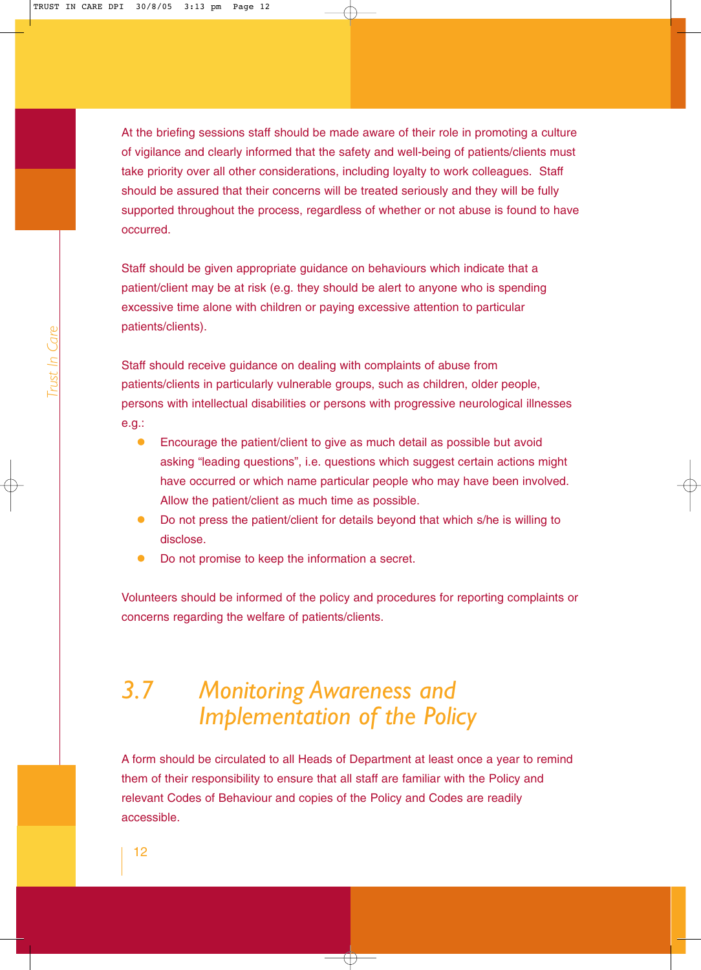At the briefing sessions staff should be made aware of their role in promoting a culture of vigilance and clearly informed that the safety and well-being of patients/clients must take priority over all other considerations, including loyalty to work colleagues. Staff should be assured that their concerns will be treated seriously and they will be fully supported throughout the process, regardless of whether or not abuse is found to have occurred.

Staff should be given appropriate guidance on behaviours which indicate that a patient/client may be at risk (e.g. they should be alert to anyone who is spending excessive time alone with children or paying excessive attention to particular patients/clients).

Staff should receive guidance on dealing with complaints of abuse from patients/clients in particularly vulnerable groups, such as children, older people, persons with intellectual disabilities or persons with progressive neurological illnesses e.g.:

- Encourage the patient/client to give as much detail as possible but avoid asking "leading questions", i.e. questions which suggest certain actions might have occurred or which name particular people who may have been involved. Allow the patient/client as much time as possible.
- Do not press the patient/client for details beyond that which s/he is willing to disclose.
- Do not promise to keep the information a secret.

Volunteers should be informed of the policy and procedures for reporting complaints or concerns regarding the welfare of patients/clients.

### *3.7 Monitoring Awareness and Implementation of the Policy*

A form should be circulated to all Heads of Department at least once a year to remind them of their responsibility to ensure that all staff are familiar with the Policy and relevant Codes of Behaviour and copies of the Policy and Codes are readily accessible.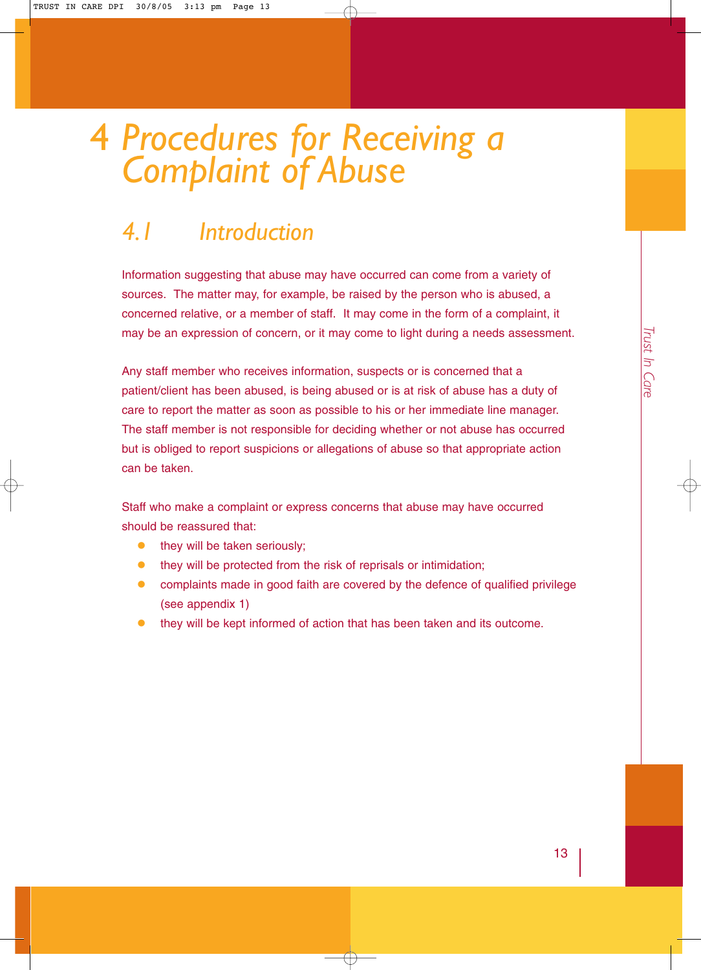### *Procedures for Receiving a Complaint of Abuse* 4

### *4.1 Introduction*

Information suggesting that abuse may have occurred can come from a variety of sources. The matter may, for example, be raised by the person who is abused, a concerned relative, or a member of staff. It may come in the form of a complaint, it may be an expression of concern, or it may come to light during a needs assessment.

Any staff member who receives information, suspects or is concerned that a patient/client has been abused, is being abused or is at risk of abuse has a duty of care to report the matter as soon as possible to his or her immediate line manager. The staff member is not responsible for deciding whether or not abuse has occurred but is obliged to report suspicions or allegations of abuse so that appropriate action can be taken.

Staff who make a complaint or express concerns that abuse may have occurred should be reassured that:

- they will be taken seriously;
- they will be protected from the risk of reprisals or intimidation;
- complaints made in good faith are covered by the defence of qualified privilege (see appendix 1)
- they will be kept informed of action that has been taken and its outcome.

13

*Trust In Care*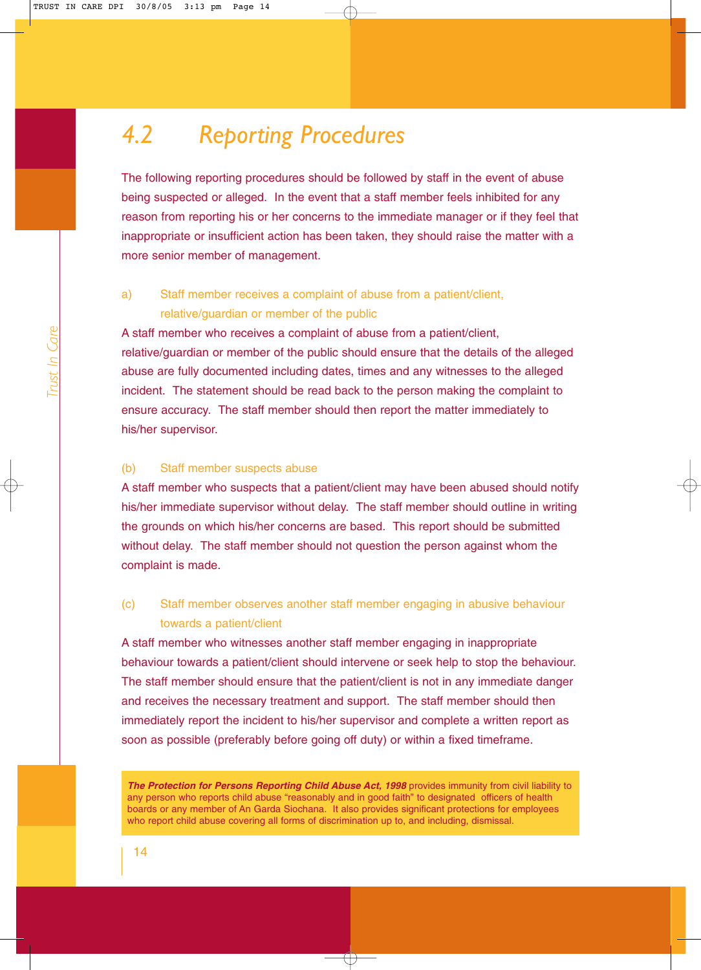### *4.2 Reporting Procedures*

The following reporting procedures should be followed by staff in the event of abuse being suspected or alleged. In the event that a staff member feels inhibited for any reason from reporting his or her concerns to the immediate manager or if they feel that inappropriate or insufficient action has been taken, they should raise the matter with a more senior member of management.

#### a) Staff member receives a complaint of abuse from a patient/client, relative/guardian or member of the public

A staff member who receives a complaint of abuse from a patient/client, relative/guardian or member of the public should ensure that the details of the alleged abuse are fully documented including dates, times and any witnesses to the alleged incident. The statement should be read back to the person making the complaint to ensure accuracy. The staff member should then report the matter immediately to his/her supervisor.

#### (b) Staff member suspects abuse

A staff member who suspects that a patient/client may have been abused should notify his/her immediate supervisor without delay. The staff member should outline in writing the grounds on which his/her concerns are based. This report should be submitted without delay. The staff member should not question the person against whom the complaint is made.

#### (c) Staff member observes another staff member engaging in abusive behaviour towards a patient/client

A staff member who witnesses another staff member engaging in inappropriate behaviour towards a patient/client should intervene or seek help to stop the behaviour. The staff member should ensure that the patient/client is not in any immediate danger and receives the necessary treatment and support. The staff member should then immediately report the incident to his/her supervisor and complete a written report as soon as possible (preferably before going off duty) or within a fixed timeframe.

*The Protection for Persons Reporting Child Abuse Act, 1998* provides immunity from civil liability to any person who reports child abuse "reasonably and in good faith" to designated officers of health boards or any member of An Garda Siochana. It also provides significant protections for employees who report child abuse covering all forms of discrimination up to, and including, dismissal.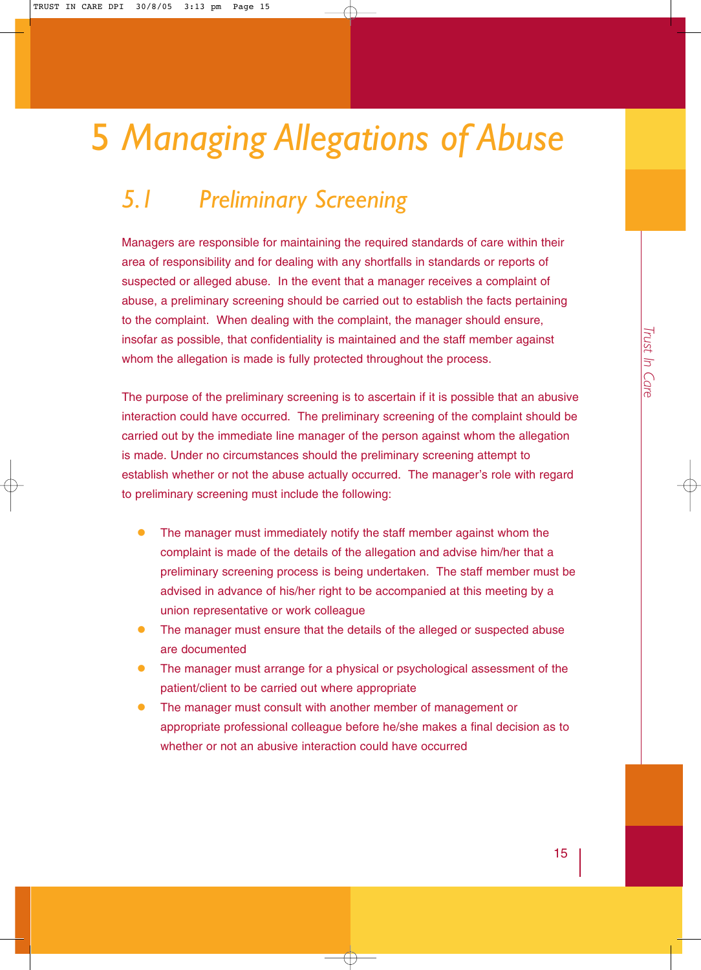# *Managing Allegations of Abuse* 5

## *5.1 Preliminary Screening*

Managers are responsible for maintaining the required standards of care within their area of responsibility and for dealing with any shortfalls in standards or reports of suspected or alleged abuse. In the event that a manager receives a complaint of abuse, a preliminary screening should be carried out to establish the facts pertaining to the complaint. When dealing with the complaint, the manager should ensure, insofar as possible, that confidentiality is maintained and the staff member against whom the allegation is made is fully protected throughout the process.

The purpose of the preliminary screening is to ascertain if it is possible that an abusive interaction could have occurred. The preliminary screening of the complaint should be carried out by the immediate line manager of the person against whom the allegation is made. Under no circumstances should the preliminary screening attempt to establish whether or not the abuse actually occurred. The manager's role with regard to preliminary screening must include the following:

- The manager must immediately notify the staff member against whom the complaint is made of the details of the allegation and advise him/her that a preliminary screening process is being undertaken. The staff member must be advised in advance of his/her right to be accompanied at this meeting by a union representative or work colleague
- The manager must ensure that the details of the alleged or suspected abuse are documented
- The manager must arrange for a physical or psychological assessment of the patient/client to be carried out where appropriate
- The manager must consult with another member of management or appropriate professional colleague before he/she makes a final decision as to whether or not an abusive interaction could have occurred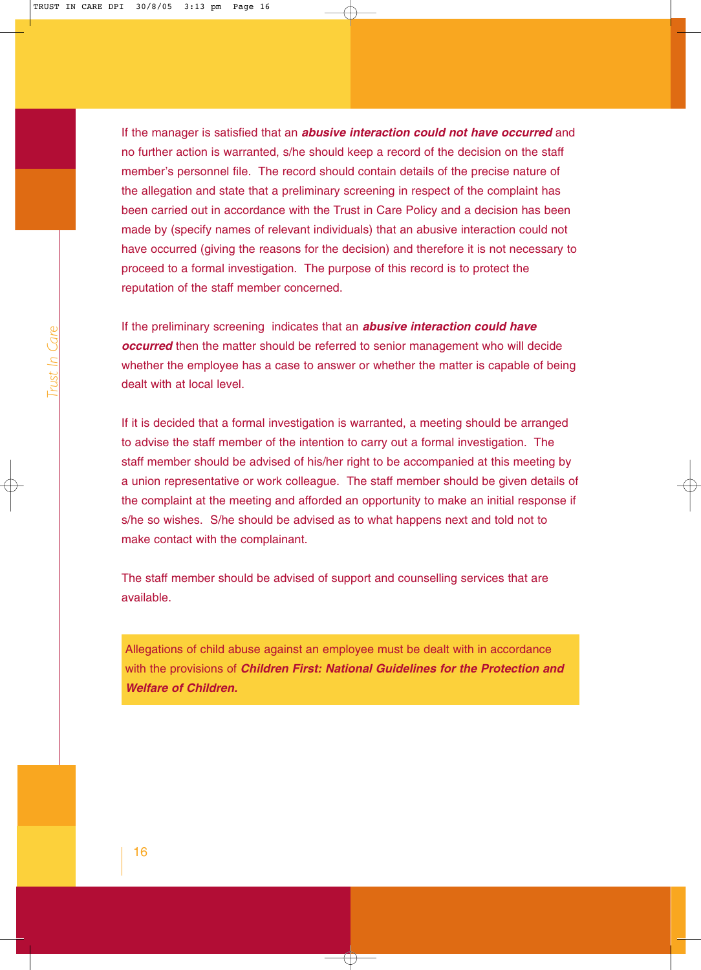If the manager is satisfied that an *abusive interaction could not have occurred* and no further action is warranted, s/he should keep a record of the decision on the staff member's personnel file. The record should contain details of the precise nature of the allegation and state that a preliminary screening in respect of the complaint has been carried out in accordance with the Trust in Care Policy and a decision has been made by (specify names of relevant individuals) that an abusive interaction could not have occurred (giving the reasons for the decision) and therefore it is not necessary to proceed to a formal investigation. The purpose of this record is to protect the reputation of the staff member concerned.

If the preliminary screening indicates that an *abusive interaction could have occurred* then the matter should be referred to senior management who will decide whether the employee has a case to answer or whether the matter is capable of being dealt with at local level.

If it is decided that a formal investigation is warranted, a meeting should be arranged to advise the staff member of the intention to carry out a formal investigation. The staff member should be advised of his/her right to be accompanied at this meeting by a union representative or work colleague. The staff member should be given details of the complaint at the meeting and afforded an opportunity to make an initial response if s/he so wishes. S/he should be advised as to what happens next and told not to make contact with the complainant.

The staff member should be advised of support and counselling services that are available.

Allegations of child abuse against an employee must be dealt with in accordance with the provisions of *Children First: National Guidelines for the Protection and Welfare of Children.*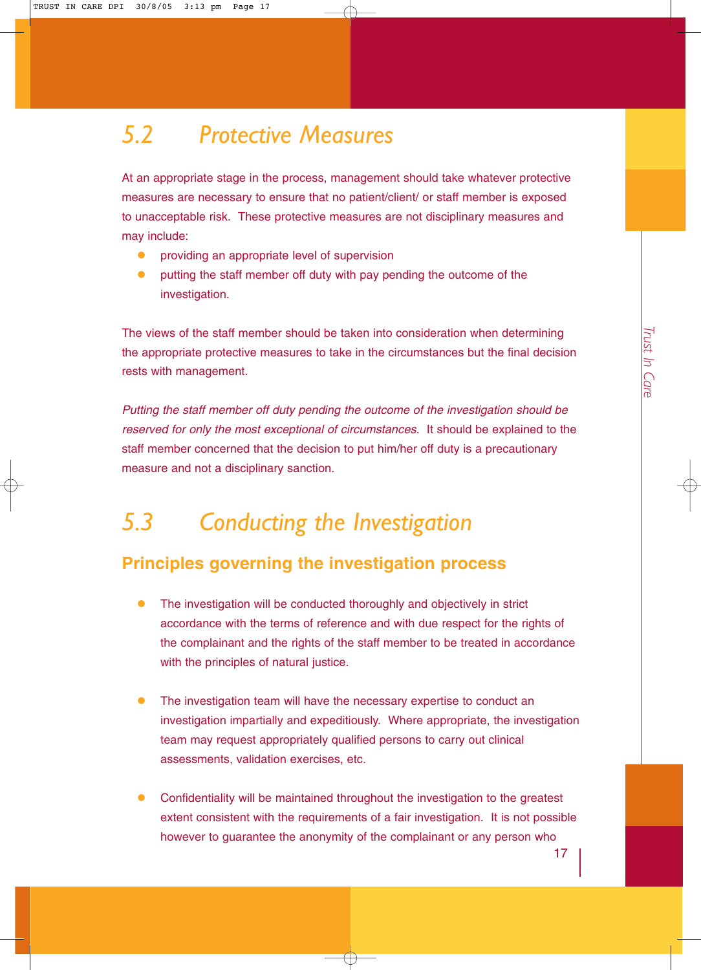### *5.2 Protective Measures*

At an appropriate stage in the process, management should take whatever protective measures are necessary to ensure that no patient/client/ or staff member is exposed to unacceptable risk. These protective measures are not disciplinary measures and may include:

- **•** providing an appropriate level of supervision
- putting the staff member off duty with pay pending the outcome of the investigation.

The views of the staff member should be taken into consideration when determining the appropriate protective measures to take in the circumstances but the final decision rests with management.

*Putting the staff member off duty pending the outcome of the investigation should be reserved for only the most exceptional of circumstances.* It should be explained to the staff member concerned that the decision to put him/her off duty is a precautionary measure and not a disciplinary sanction.

### *5.3 Conducting the Investigation*

#### **Principles governing the investigation process**

- The investigation will be conducted thoroughly and objectively in strict accordance with the terms of reference and with due respect for the rights of the complainant and the rights of the staff member to be treated in accordance with the principles of natural justice.
- The investigation team will have the necessary expertise to conduct an investigation impartially and expeditiously. Where appropriate, the investigation team may request appropriately qualified persons to carry out clinical assessments, validation exercises, etc.
- Confidentiality will be maintained throughout the investigation to the greatest extent consistent with the requirements of a fair investigation. It is not possible however to guarantee the anonymity of the complainant or any person who

Trust In Care *Trust In Care*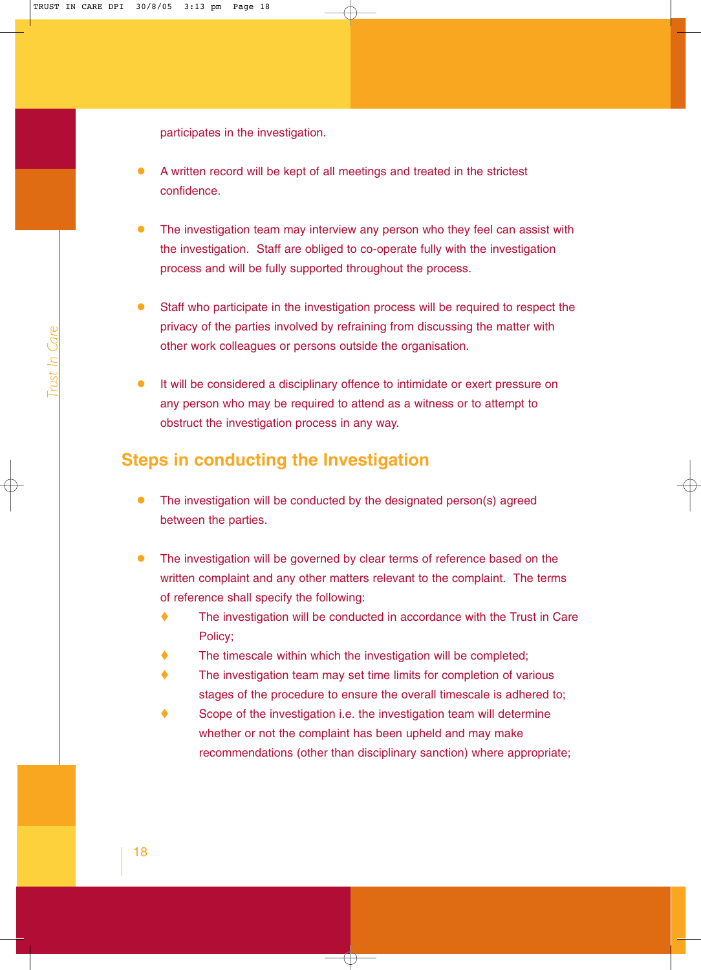*Trust In Care*

rust In Care

participates in the investigation.

- A written record will be kept of all meetings and treated in the strictest confidence.
- The investigation team may interview any person who they feel can assist with the investigation. Staff are obliged to co-operate fully with the investigation process and will be fully supported throughout the process.
- Staff who participate in the investigation process will be required to respect the privacy of the parties involved by refraining from discussing the matter with other work colleagues or persons outside the organisation.
- It will be considered a disciplinary offence to intimidate or exert pressure on any person who may be required to attend as a witness or to attempt to obstruct the investigation process in any way.

#### **Steps in conducting the Investigation**

- The investigation will be conducted by the designated person(s) agreed between the parties.
- The investigation will be governed by clear terms of reference based on the written complaint and any other matters relevant to the complaint. The terms of reference shall specify the following:
	- ◆ The investigation will be conducted in accordance with the Trust in Care Policy;
	- The timescale within which the investigation will be completed;
	- The investigation team may set time limits for completion of various stages of the procedure to ensure the overall timescale is adhered to;
	- Scope of the investigation i.e. the investigation team will determine whether or not the complaint has been upheld and may make recommendations (other than disciplinary sanction) where appropriate;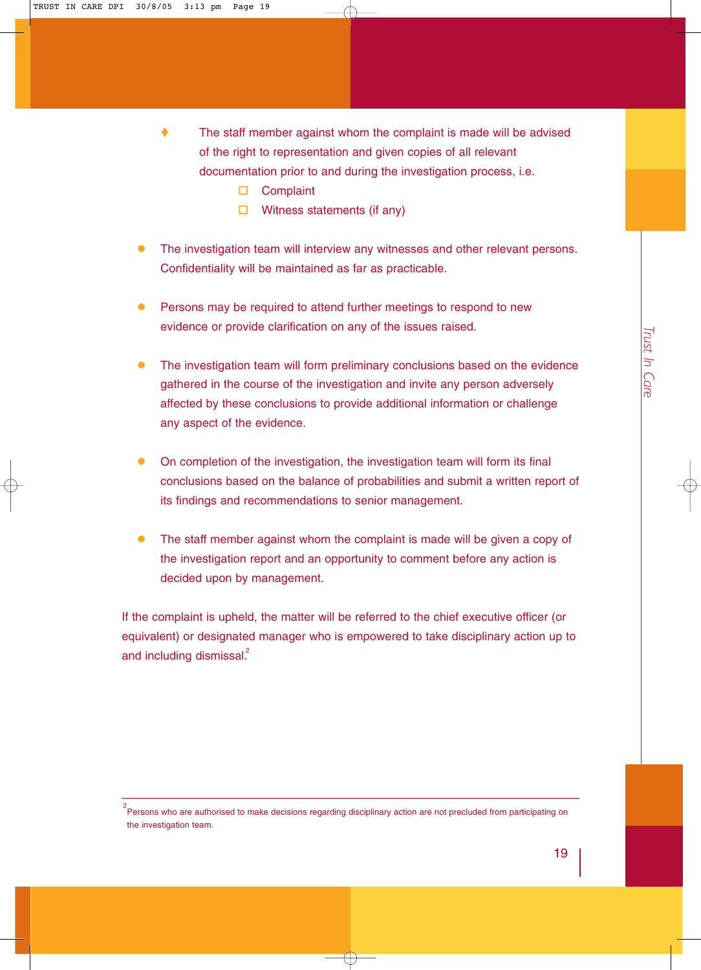- ◆ The staff member against whom the complaint is made will be advised of the right to representation and given copies of all relevant documentation prior to and during the investigation process, i.e.
	- □ Complaint
	- $\Box$  Witness statements (if any)
- The investigation team will interview any witnesses and other relevant persons. Confidentiality will be maintained as far as practicable.
- Persons may be required to attend further meetings to respond to new evidence or provide clarification on any of the issues raised.
- The investigation team will form preliminary conclusions based on the evidence gathered in the course of the investigation and invite any person adversely affected by these conclusions to provide additional information or challenge any aspect of the evidence.
- On completion of the investigation, the investigation team will form its final conclusions based on the balance of probabilities and submit a written report of its findings and recommendations to senior management.
- The staff member against whom the complaint is made will be given a copy of the investigation report and an opportunity to comment before any action is decided upon by management.

If the complaint is upheld, the matter will be referred to the chief executive officer (or equivalent) or designated manager who is empowered to take disciplinary action up to and including dismissal. $2$ 

<sup>2</sup><br>Persons who are authorised to make decisions regarding disciplinary action are not precluded from participating on the investigation team.

19

*Trust In Care*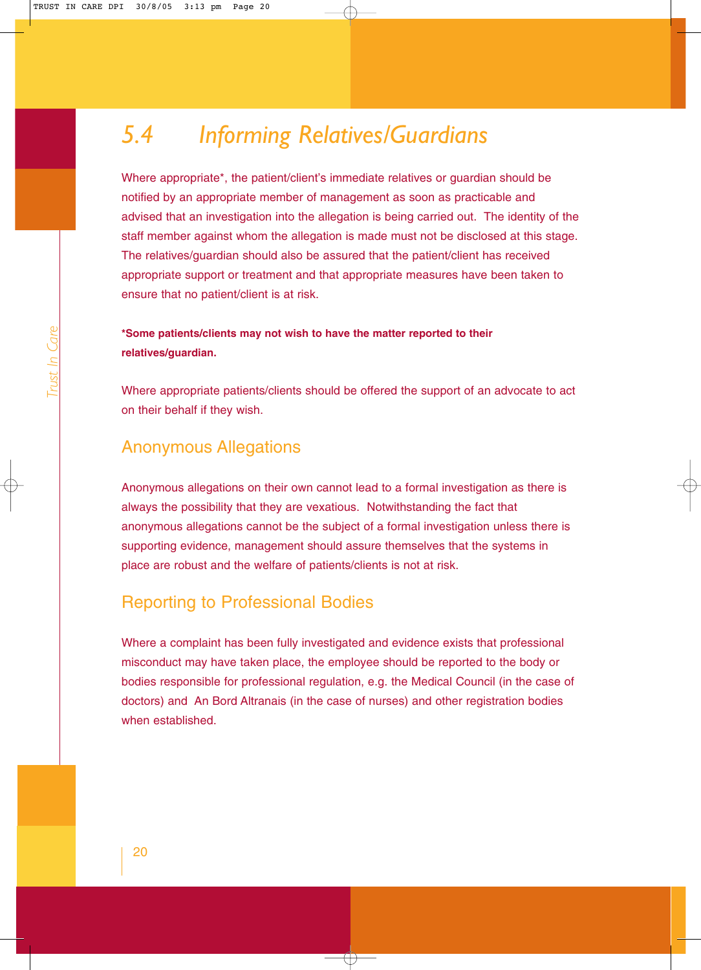*Trust In Care*

Frust In Care

### *5.4 Informing Relatives/Guardians*

Where appropriate\*, the patient/client's immediate relatives or guardian should be notified by an appropriate member of management as soon as practicable and advised that an investigation into the allegation is being carried out. The identity of the staff member against whom the allegation is made must not be disclosed at this stage. The relatives/guardian should also be assured that the patient/client has received appropriate support or treatment and that appropriate measures have been taken to ensure that no patient/client is at risk.

**\*Some patients/clients may not wish to have the matter reported to their relatives/guardian.**

Where appropriate patients/clients should be offered the support of an advocate to act on their behalf if they wish.

#### Anonymous Allegations

Anonymous allegations on their own cannot lead to a formal investigation as there is always the possibility that they are vexatious. Notwithstanding the fact that anonymous allegations cannot be the subject of a formal investigation unless there is supporting evidence, management should assure themselves that the systems in place are robust and the welfare of patients/clients is not at risk.

#### Reporting to Professional Bodies

Where a complaint has been fully investigated and evidence exists that professional misconduct may have taken place, the employee should be reported to the body or bodies responsible for professional regulation, e.g. the Medical Council (in the case of doctors) and An Bord Altranais (in the case of nurses) and other registration bodies when established.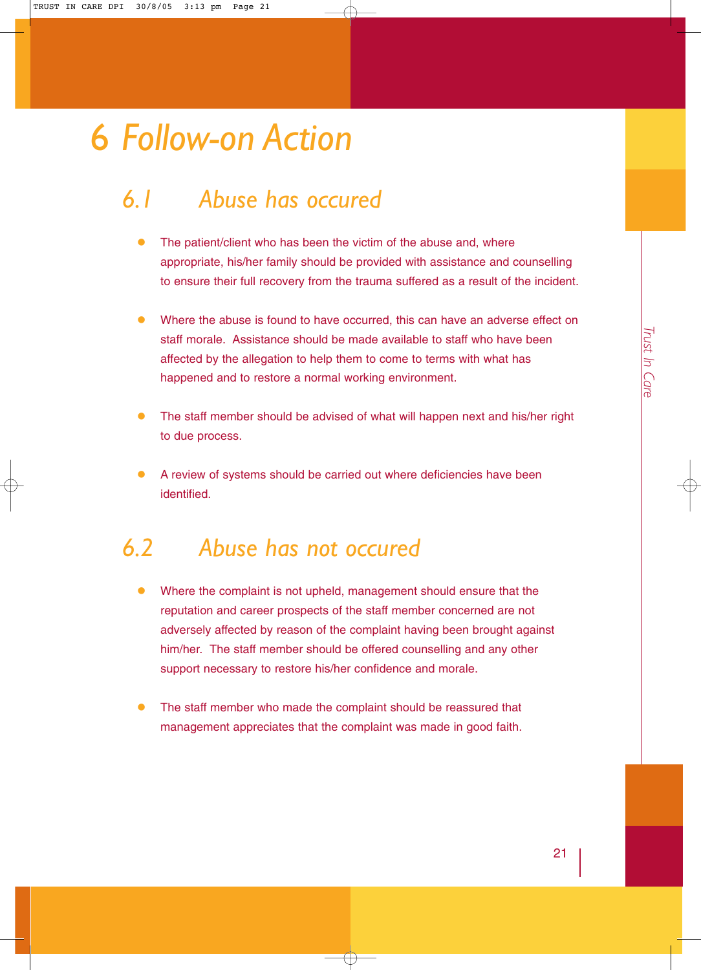## *Follow-on Action* 6

## *6.1 Abuse has occured*

- The patient/client who has been the victim of the abuse and, where appropriate, his/her family should be provided with assistance and counselling to ensure their full recovery from the trauma suffered as a result of the incident.
- Where the abuse is found to have occurred, this can have an adverse effect on staff morale. Assistance should be made available to staff who have been affected by the allegation to help them to come to terms with what has happened and to restore a normal working environment.
- The staff member should be advised of what will happen next and his/her right to due process.
- A review of systems should be carried out where deficiencies have been identified.

### *6.2 Abuse has not occured*

- Where the complaint is not upheld, management should ensure that the reputation and career prospects of the staff member concerned are not adversely affected by reason of the complaint having been brought against him/her. The staff member should be offered counselling and any other support necessary to restore his/her confidence and morale.
- The staff member who made the complaint should be reassured that management appreciates that the complaint was made in good faith.

21

*Trust In Care*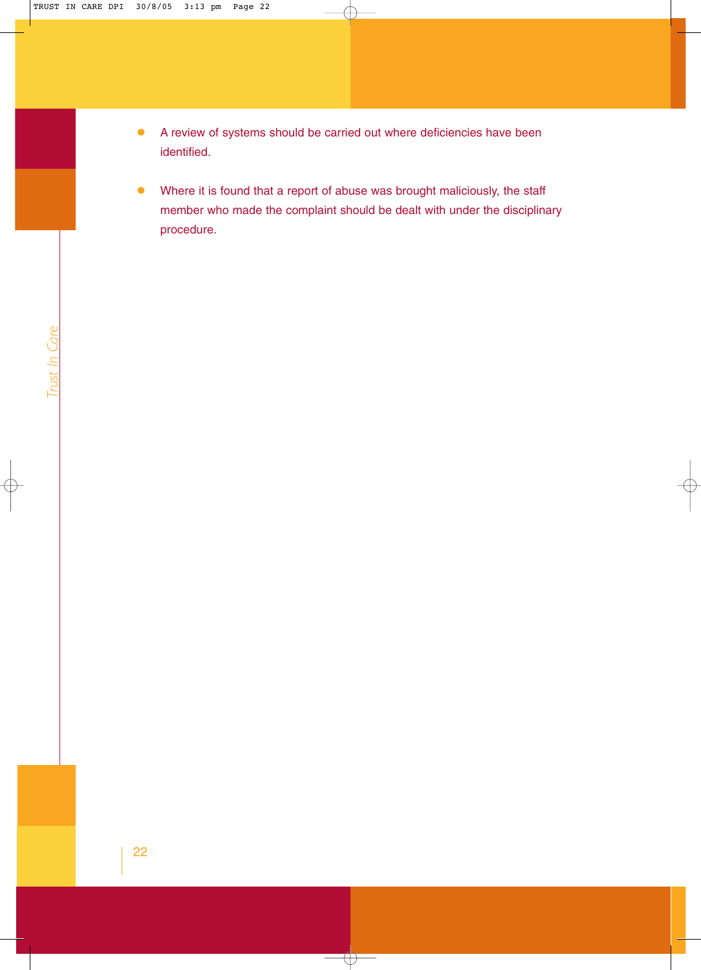- A review of systems should be carried out where deficiencies have been identified.
- Where it is found that a report of abuse was brought maliciously, the staff member who made the complaint should be dealt with under the disciplinary procedure.

 $\overline{\bigoplus}$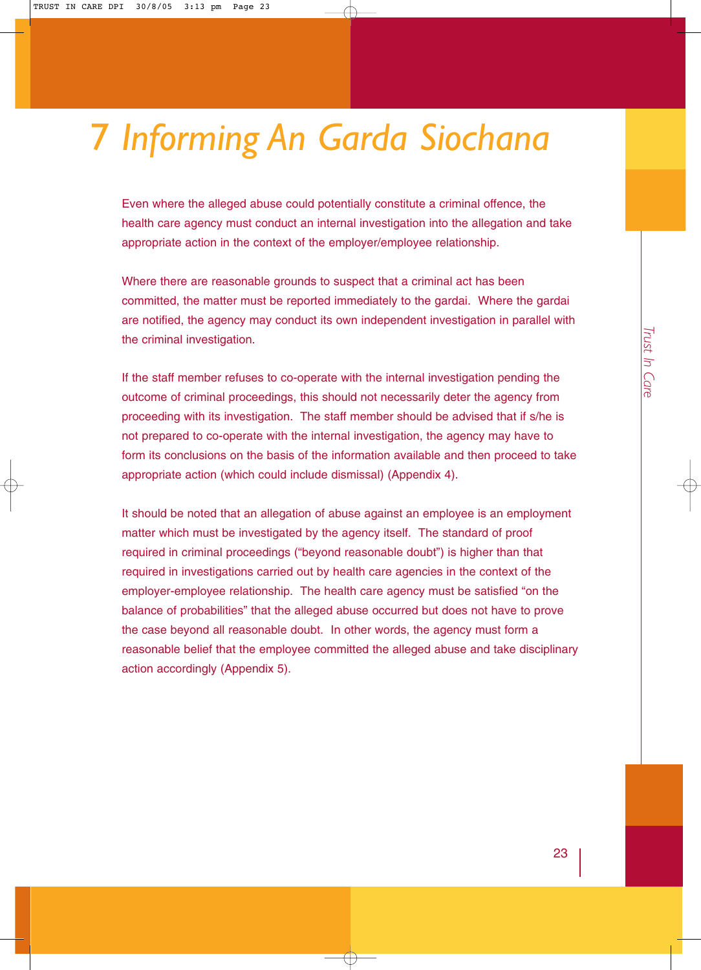## *Informing An Garda Siochana* 7

Even where the alleged abuse could potentially constitute a criminal offence, the health care agency must conduct an internal investigation into the allegation and take appropriate action in the context of the employer/employee relationship.

Where there are reasonable grounds to suspect that a criminal act has been committed, the matter must be reported immediately to the gardai. Where the gardai are notified, the agency may conduct its own independent investigation in parallel with the criminal investigation.

If the staff member refuses to co-operate with the internal investigation pending the outcome of criminal proceedings, this should not necessarily deter the agency from proceeding with its investigation. The staff member should be advised that if s/he is not prepared to co-operate with the internal investigation, the agency may have to form its conclusions on the basis of the information available and then proceed to take appropriate action (which could include dismissal) (Appendix 4).

It should be noted that an allegation of abuse against an employee is an employment matter which must be investigated by the agency itself. The standard of proof required in criminal proceedings ("beyond reasonable doubt") is higher than that required in investigations carried out by health care agencies in the context of the employer-employee relationship. The health care agency must be satisfied "on the balance of probabilities" that the alleged abuse occurred but does not have to prove the case beyond all reasonable doubt. In other words, the agency must form a reasonable belief that the employee committed the alleged abuse and take disciplinary action accordingly (Appendix 5).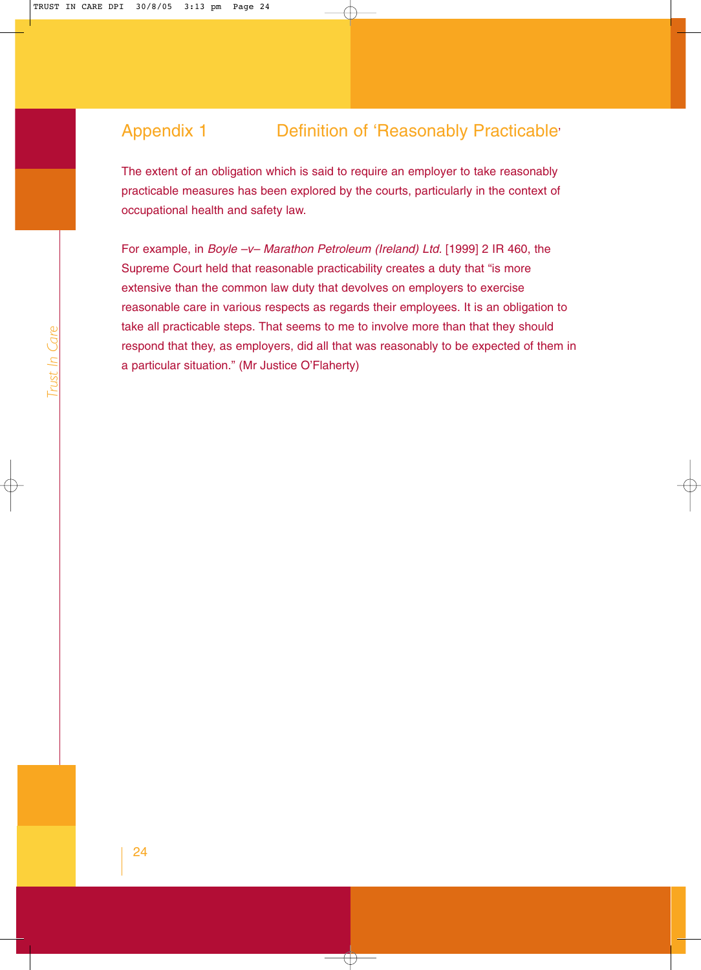### Appendix 1 Definition of 'Reasonably Practicable'

The extent of an obligation which is said to require an employer to take reasonably practicable measures has been explored by the courts, particularly in the context of occupational health and safety law.

For example, in *Boyle –v– Marathon Petroleum (Ireland) Ltd.* [1999] 2 IR 460, the Supreme Court held that reasonable practicability creates a duty that "is more extensive than the common law duty that devolves on employers to exercise reasonable care in various respects as regards their employees. It is an obligation to take all practicable steps. That seems to me to involve more than that they should respond that they, as employers, did all that was reasonably to be expected of them in a particular situation." (Mr Justice O'Flaherty)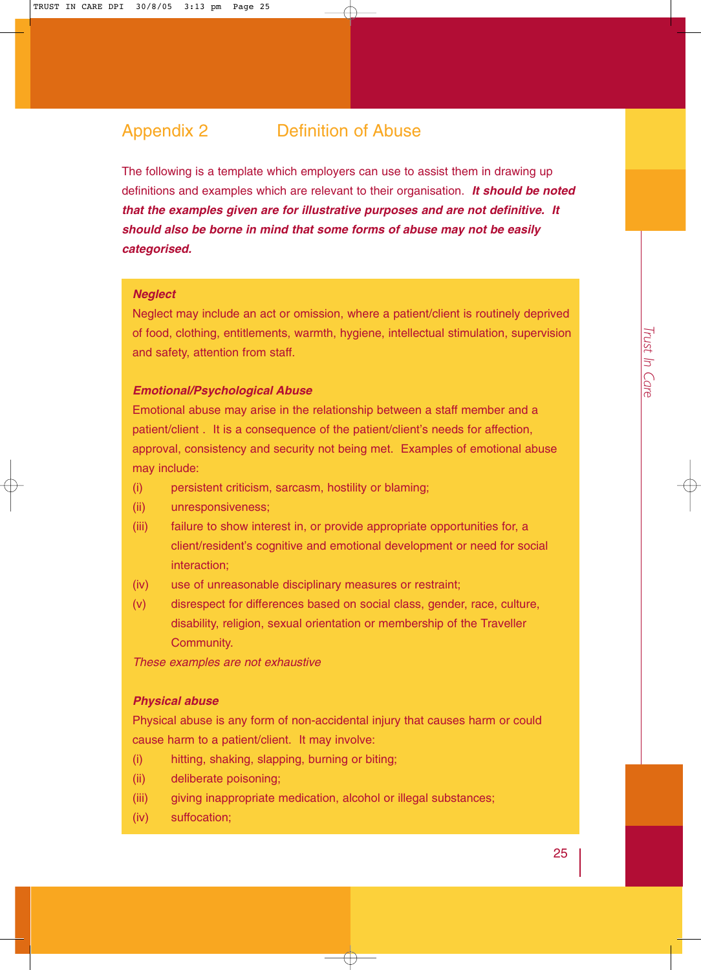#### Appendix 2 Definition of Abuse

The following is a template which employers can use to assist them in drawing up definitions and examples which are relevant to their organisation. *It should be noted that the examples given are for illustrative purposes and are not definitive. It should also be borne in mind that some forms of abuse may not be easily categorised.*

#### *Neglect*

Neglect may include an act or omission, where a patient/client is routinely deprived of food, clothing, entitlements, warmth, hygiene, intellectual stimulation, supervision and safety, attention from staff.

#### *Emotional/Psychological Abuse*

Emotional abuse may arise in the relationship between a staff member and a patient/client . It is a consequence of the patient/client's needs for affection, approval, consistency and security not being met. Examples of emotional abuse may include:

- (i) persistent criticism, sarcasm, hostility or blaming;
- (ii) unresponsiveness;
- (iii) failure to show interest in, or provide appropriate opportunities for, a client/resident's cognitive and emotional development or need for social interaction;
- (iv) use of unreasonable disciplinary measures or restraint;
- (v) disrespect for differences based on social class, gender, race, culture, disability, religion, sexual orientation or membership of the Traveller Community.

*These examples are not exhaustive*

#### *Physical abuse*

Physical abuse is any form of non-accidental injury that causes harm or could cause harm to a patient/client. It may involve:

- (i) hitting, shaking, slapping, burning or biting;
- (ii) deliberate poisoning;
- (iii) giving inappropriate medication, alcohol or illegal substances;
- (iv) suffocation;

*Trust In Care*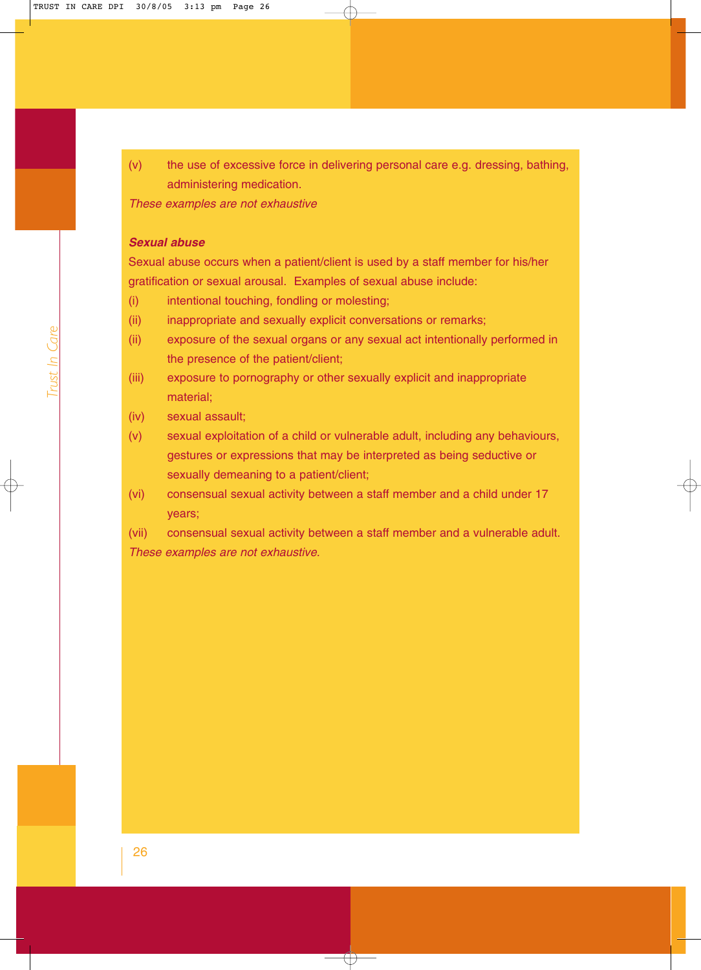(v) the use of excessive force in delivering personal care e.g. dressing, bathing, administering medication.

*These examples are not exhaustive*

#### *Sexual abuse*

Sexual abuse occurs when a patient/client is used by a staff member for his/her gratification or sexual arousal. Examples of sexual abuse include:

- (i) intentional touching, fondling or molesting;
- (ii) inappropriate and sexually explicit conversations or remarks;
- (ii) exposure of the sexual organs or any sexual act intentionally performed in the presence of the patient/client;
- (iii) exposure to pornography or other sexually explicit and inappropriate material;
- (iv) sexual assault;
- (v) sexual exploitation of a child or vulnerable adult, including any behaviours, gestures or expressions that may be interpreted as being seductive or sexually demeaning to a patient/client;
- (vi) consensual sexual activity between a staff member and a child under 17 years;
- (vii) consensual sexual activity between a staff member and a vulnerable adult. *These examples are not exhaustive.*

 $\oplus$ 

26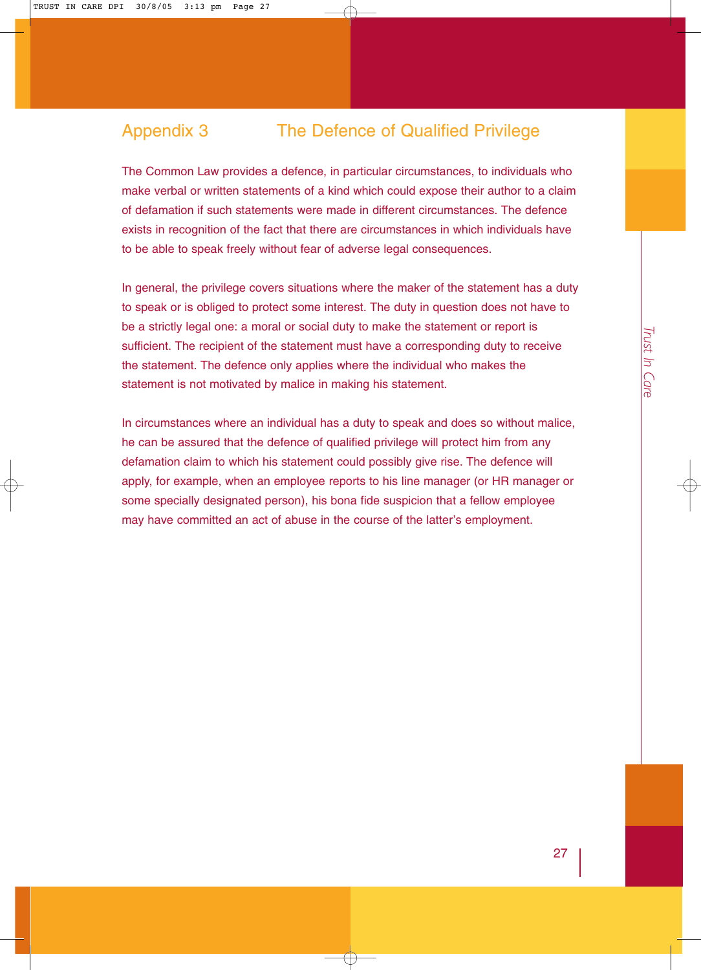#### Appendix 3 The Defence of Qualified Privilege

The Common Law provides a defence, in particular circumstances, to individuals who make verbal or written statements of a kind which could expose their author to a claim of defamation if such statements were made in different circumstances. The defence exists in recognition of the fact that there are circumstances in which individuals have to be able to speak freely without fear of adverse legal consequences.

In general, the privilege covers situations where the maker of the statement has a duty to speak or is obliged to protect some interest. The duty in question does not have to be a strictly legal one: a moral or social duty to make the statement or report is sufficient. The recipient of the statement must have a corresponding duty to receive the statement. The defence only applies where the individual who makes the statement is not motivated by malice in making his statement.

In circumstances where an individual has a duty to speak and does so without malice, he can be assured that the defence of qualified privilege will protect him from any defamation claim to which his statement could possibly give rise. The defence will apply, for example, when an employee reports to his line manager (or HR manager or some specially designated person), his bona fide suspicion that a fellow employee may have committed an act of abuse in the course of the latter's employment.

27

*Trust In Care*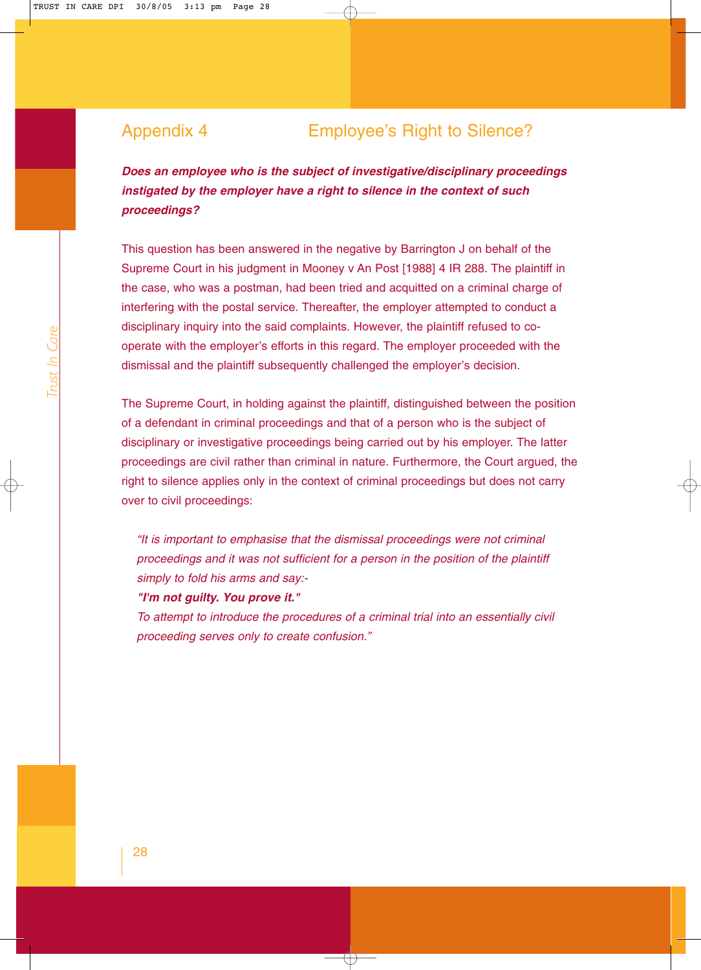#### Appendix 4 **Employee's Right to Silence?**

*Does an employee who is the subject of investigative/disciplinary proceedings instigated by the employer have a right to silence in the context of such proceedings?*

This question has been answered in the negative by Barrington J on behalf of the Supreme Court in his judgment in Mooney v An Post [1988] 4 IR 288. The plaintiff in the case, who was a postman, had been tried and acquitted on a criminal charge of interfering with the postal service. Thereafter, the employer attempted to conduct a disciplinary inquiry into the said complaints. However, the plaintiff refused to cooperate with the employer's efforts in this regard. The employer proceeded with the dismissal and the plaintiff subsequently challenged the employer's decision.

The Supreme Court, in holding against the plaintiff, distinguished between the position of a defendant in criminal proceedings and that of a person who is the subject of disciplinary or investigative proceedings being carried out by his employer. The latter proceedings are civil rather than criminal in nature. Furthermore, the Court argued, the right to silence applies only in the context of criminal proceedings but does not carry over to civil proceedings:

*"It is important to emphasise that the dismissal proceedings were not criminal proceedings and it was not sufficient for a person in the position of the plaintiff simply to fold his arms and say:-*

#### *"I'm not guilty. You prove it."*

*To attempt to introduce the procedures of a criminal trial into an essentially civil proceeding serves only to create confusion."*

 $\oplus$ 

**Frust In Care** *Trust In Care*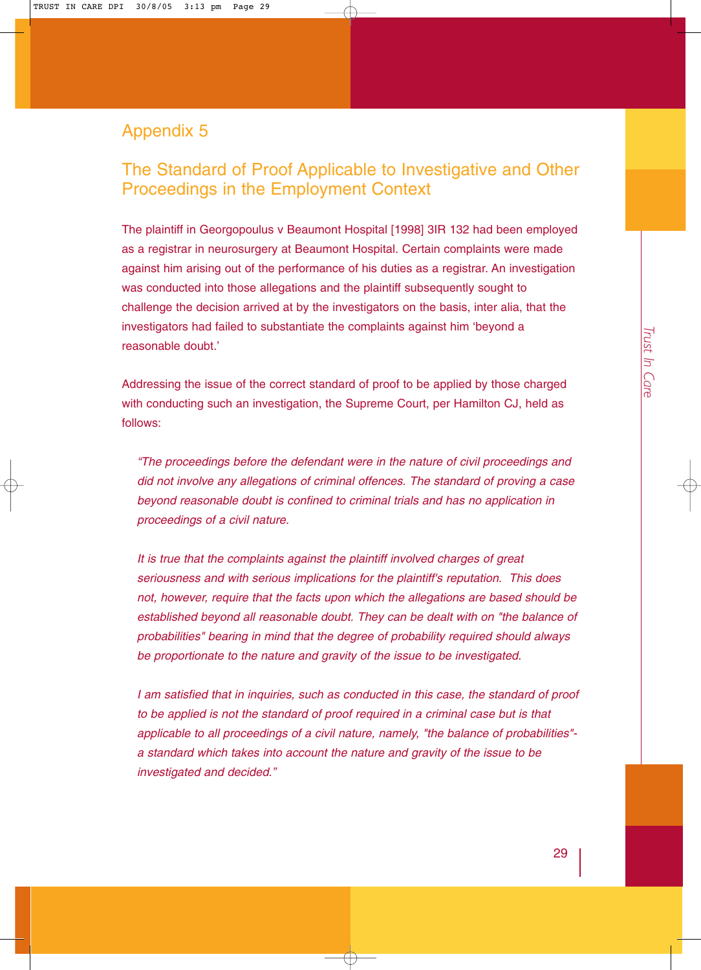#### Appendix 5

#### The Standard of Proof Applicable to Investigative and Other Proceedings in the Employment Context

The plaintiff in Georgopoulus v Beaumont Hospital [1998] 3IR 132 had been employed as a registrar in neurosurgery at Beaumont Hospital. Certain complaints were made against him arising out of the performance of his duties as a registrar. An investigation was conducted into those allegations and the plaintiff subsequently sought to challenge the decision arrived at by the investigators on the basis, inter alia, that the investigators had failed to substantiate the complaints against him 'beyond a reasonable doubt.'

Addressing the issue of the correct standard of proof to be applied by those charged with conducting such an investigation, the Supreme Court, per Hamilton CJ, held as follows:

*"The proceedings before the defendant were in the nature of civil proceedings and did not involve any allegations of criminal offences. The standard of proving a case beyond reasonable doubt is confined to criminal trials and has no application in proceedings of a civil nature.*

*It is true that the complaints against the plaintiff involved charges of great seriousness and with serious implications for the plaintiff's reputation. This does not, however, require that the facts upon which the allegations are based should be established beyond all reasonable doubt. They can be dealt with on "the balance of probabilities" bearing in mind that the degree of probability required should always be proportionate to the nature and gravity of the issue to be investigated.*

*I am satisfied that in inquiries, such as conducted in this case, the standard of proof to be applied is not the standard of proof required in a criminal case but is that applicable to all proceedings of a civil nature, namely, "the balance of probabilities" a standard which takes into account the nature and gravity of the issue to be investigated and decided."*

*Trust In Care*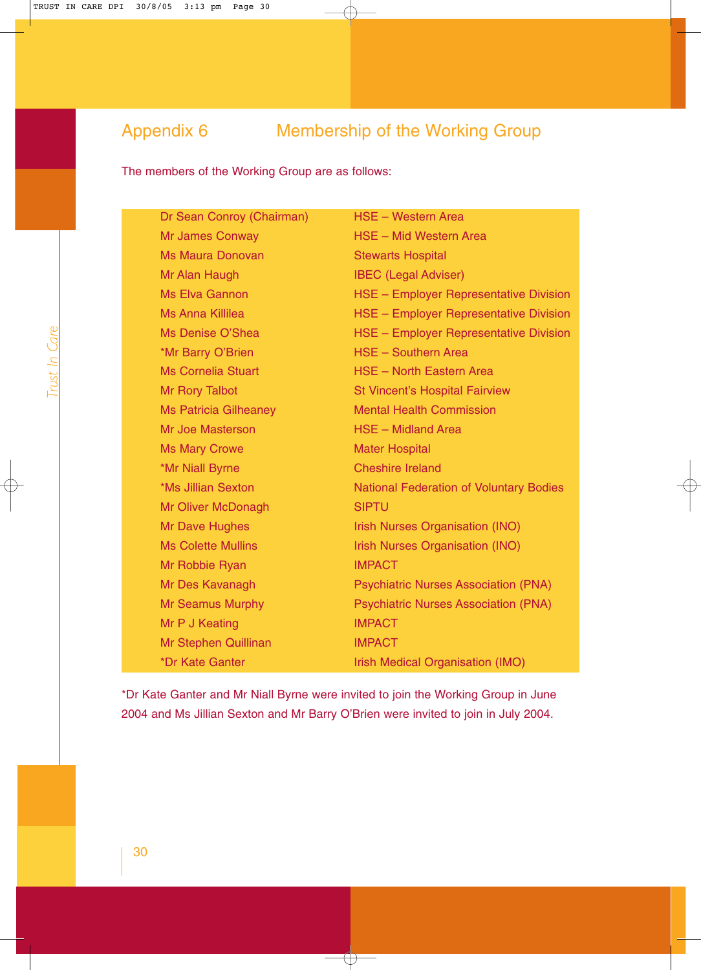### Appendix 6 Membership of the Working Group

The members of the Working Group are as follows:

| Dr Sean Conroy (Chairman)    | <b>HSE</b> - Western Area                      |
|------------------------------|------------------------------------------------|
| Mr James Conway              | <b>HSE</b> - Mid Western Area                  |
| <b>Ms Maura Donovan</b>      | <b>Stewarts Hospital</b>                       |
| Mr Alan Haugh                | <b>IBEC</b> (Legal Adviser)                    |
| <b>Ms Elva Gannon</b>        | HSE - Employer Representative Division         |
| <b>Ms Anna Killilea</b>      | HSE - Employer Representative Division         |
| Ms Denise O'Shea             | HSE - Employer Representative Division         |
| *Mr Barry O'Brien            | <b>HSE</b> - Southern Area                     |
| <b>Ms Cornelia Stuart</b>    | <b>HSE</b> - North Eastern Area                |
| Mr Rory Talbot               | <b>St Vincent's Hospital Fairview</b>          |
| <b>Ms Patricia Gilheaney</b> | <b>Mental Health Commission</b>                |
| Mr Joe Masterson             | <b>HSE</b> - Midland Area                      |
| <b>Ms Mary Crowe</b>         | <b>Mater Hospital</b>                          |
| *Mr Niall Byrne              | <b>Cheshire Ireland</b>                        |
| *Ms Jillian Sexton           | <b>National Federation of Voluntary Bodies</b> |
| Mr Oliver McDonagh           | <b>SIPTU</b>                                   |
| Mr Dave Hughes               | Irish Nurses Organisation (INO)                |
| <b>Ms Colette Mullins</b>    | Irish Nurses Organisation (INO)                |
| Mr Robbie Ryan               | <b>IMPACT</b>                                  |
| Mr Des Kavanagh              | <b>Psychiatric Nurses Association (PNA)</b>    |
| <b>Mr Seamus Murphy</b>      | <b>Psychiatric Nurses Association (PNA)</b>    |
| Mr P J Keating               | <b>IMPACT</b>                                  |
| Mr Stephen Quillinan         | <b>IMPACT</b>                                  |
| *Dr Kate Ganter              | Irish Medical Organisation (IMO)               |

\*Dr Kate Ganter and Mr Niall Byrne were invited to join the Working Group in June 2004 and Ms Jillian Sexton and Mr Barry O'Brien were invited to join in July 2004.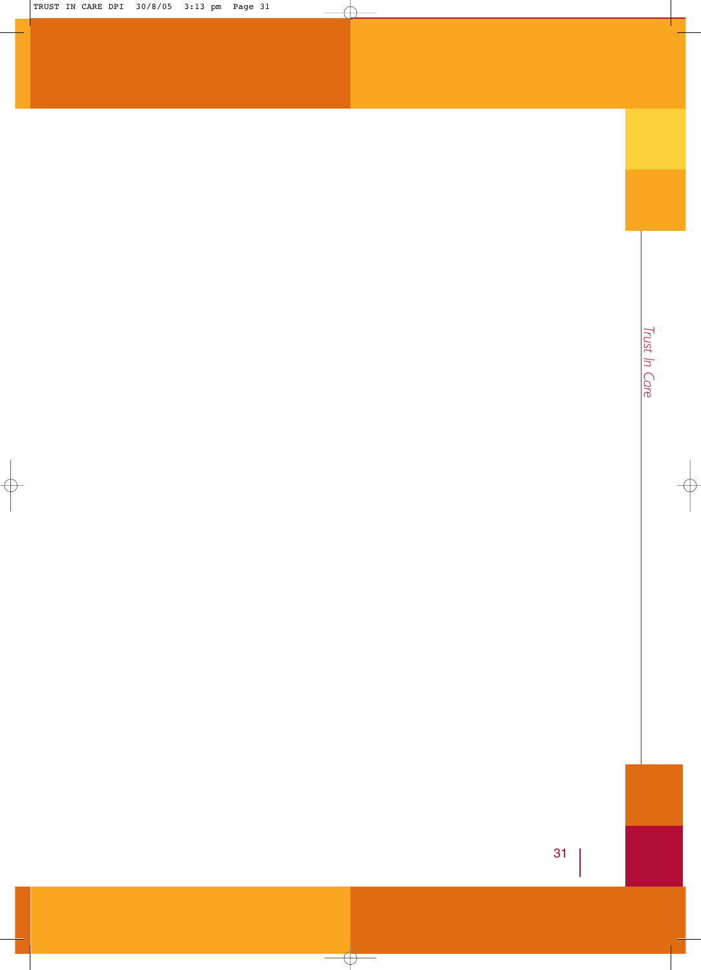$\bigoplus$ 

 $\overline{\bigoplus}$ 

# Trust In Care *Trust In Care*